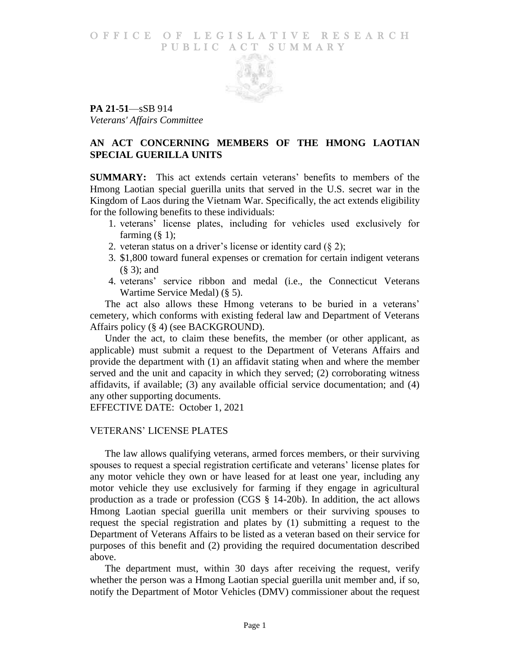## O F FICE OF LEGISLATIVE RESEARCH PUBLIC ACT SUMMARY



**PA 21-51**—sSB 914 *Veterans' Affairs Committee*

# **AN ACT CONCERNING MEMBERS OF THE HMONG LAOTIAN SPECIAL GUERILLA UNITS**

**SUMMARY:** This act extends certain veterans' benefits to members of the Hmong Laotian special guerilla units that served in the U.S. secret war in the Kingdom of Laos during the Vietnam War. Specifically, the act extends eligibility for the following benefits to these individuals:

- 1. veterans' license plates, including for vehicles used exclusively for farming  $(\S 1)$ ;
- 2. veteran status on a driver's license or identity card  $(\S 2)$ ;
- 3. \$1,800 toward funeral expenses or cremation for certain indigent veterans (§ 3); and
- 4. veterans' service ribbon and medal (i.e., the Connecticut Veterans Wartime Service Medal) (§ 5).

The act also allows these Hmong veterans to be buried in a veterans' cemetery, which conforms with existing federal law and Department of Veterans Affairs policy (§ 4) (see BACKGROUND).

Under the act, to claim these benefits, the member (or other applicant, as applicable) must submit a request to the Department of Veterans Affairs and provide the department with (1) an affidavit stating when and where the member served and the unit and capacity in which they served; (2) corroborating witness affidavits, if available; (3) any available official service documentation; and (4) any other supporting documents.

EFFECTIVE DATE: October 1, 2021

# VETERANS' LICENSE PLATES

The law allows qualifying veterans, armed forces members, or their surviving spouses to request a special registration certificate and veterans' license plates for any motor vehicle they own or have leased for at least one year, including any motor vehicle they use exclusively for farming if they engage in agricultural production as a trade or profession (CGS § 14-20b). In addition, the act allows Hmong Laotian special guerilla unit members or their surviving spouses to request the special registration and plates by (1) submitting a request to the Department of Veterans Affairs to be listed as a veteran based on their service for purposes of this benefit and (2) providing the required documentation described above.

The department must, within 30 days after receiving the request, verify whether the person was a Hmong Laotian special guerilla unit member and, if so, notify the Department of Motor Vehicles (DMV) commissioner about the request